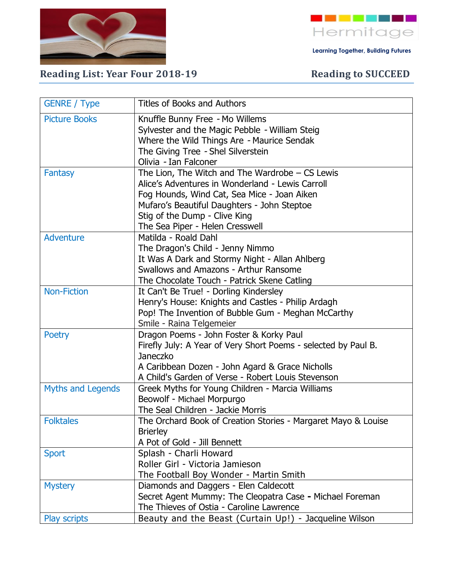



 **Learning Together, Building Futures**

## **Reading List: Year Four 2018-19** Reading to SUCCEED

| <b>GENRE / Type</b>  | <b>Titles of Books and Authors</b>                                  |
|----------------------|---------------------------------------------------------------------|
| <b>Picture Books</b> | Knuffle Bunny Free - Mo Willems                                     |
|                      | Sylvester and the Magic Pebble - William Steig                      |
|                      | Where the Wild Things Are - Maurice Sendak                          |
|                      | The Giving Tree - Shel Silverstein                                  |
|                      | Olivia - Ian Falconer                                               |
| <b>Fantasy</b>       | The Lion, The Witch and The Wardrobe $-$ CS Lewis                   |
|                      | Alice's Adventures in Wonderland - Lewis Carroll                    |
|                      | Fog Hounds, Wind Cat, Sea Mice - Joan Aiken                         |
|                      | Mufaro's Beautiful Daughters - John Steptoe                         |
|                      | Stig of the Dump - Clive King                                       |
|                      | The Sea Piper - Helen Cresswell                                     |
| <b>Adventure</b>     | Matilda - Roald Dahl                                                |
|                      | The Dragon's Child - Jenny Nimmo                                    |
|                      | It Was A Dark and Stormy Night - Allan Ahlberg                      |
|                      | Swallows and Amazons - Arthur Ransome                               |
|                      | The Chocolate Touch - Patrick Skene Catling                         |
| <b>Non-Fiction</b>   | It Can't Be True! - Dorling Kindersley                              |
|                      | Henry's House: Knights and Castles - Philip Ardagh                  |
|                      | Pop! The Invention of Bubble Gum - Meghan McCarthy                  |
| <b>Poetry</b>        | Smile - Raina Telgemeier<br>Dragon Poems - John Foster & Korky Paul |
|                      | Firefly July: A Year of Very Short Poems - selected by Paul B.      |
|                      | Janeczko                                                            |
|                      | A Caribbean Dozen - John Agard & Grace Nicholls                     |
|                      | A Child's Garden of Verse - Robert Louis Stevenson                  |
| Myths and Legends    | Greek Myths for Young Children - Marcia Williams                    |
|                      | Beowolf - Michael Morpurgo                                          |
|                      | The Seal Children - Jackie Morris                                   |
| <b>Folktales</b>     | The Orchard Book of Creation Stories - Margaret Mayo & Louise       |
|                      | <b>Brierley</b>                                                     |
|                      | A Pot of Gold - Jill Bennett                                        |
| <b>Sport</b>         | Splash - Charli Howard                                              |
|                      | Roller Girl - Victoria Jamieson                                     |
|                      | The Football Boy Wonder - Martin Smith                              |
| <b>Mystery</b>       | Diamonds and Daggers - Elen Caldecott                               |
|                      | Secret Agent Mummy: The Cleopatra Case - Michael Foreman            |
|                      | The Thieves of Ostia - Caroline Lawrence                            |
| Play scripts         | Beauty and the Beast (Curtain Up!) - Jacqueline Wilson              |